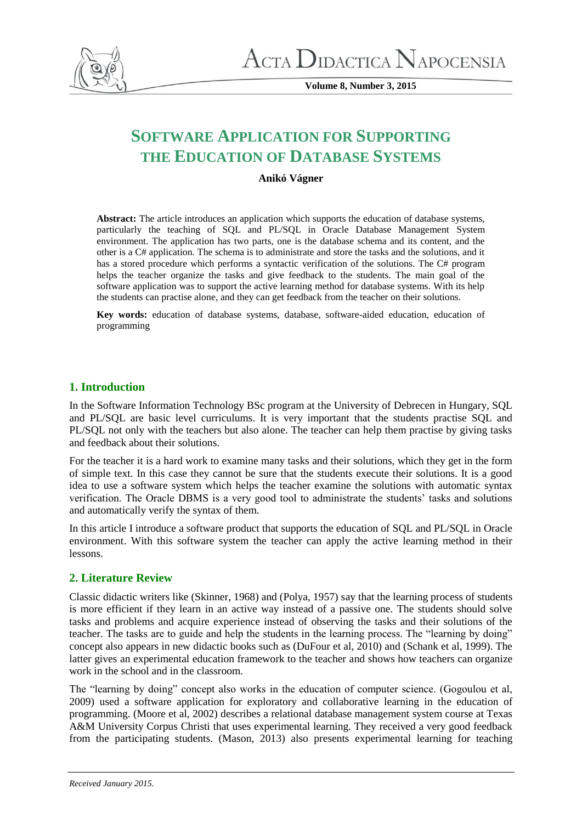

**Volume 8, Number 3, 2015**

# **SOFTWARE APPLICATION FOR SUPPORTING THE EDUCATION OF DATABASE SYSTEMS**

# **Anikó Vágner**

**Abstract:** The article introduces an application which supports the education of database systems, particularly the teaching of SQL and PL/SQL in Oracle Database Management System environment. The application has two parts, one is the database schema and its content, and the other is a C# application. The schema is to administrate and store the tasks and the solutions, and it has a stored procedure which performs a syntactic verification of the solutions. The C# program helps the teacher organize the tasks and give feedback to the students. The main goal of the software application was to support the active learning method for database systems. With its help the students can practise alone, and they can get feedback from the teacher on their solutions.

**Key words:** education of database systems, database, software-aided education, education of programming

# **1. Introduction**

In the Software Information Technology BSc program at the University of Debrecen in Hungary, SQL and PL/SQL are basic level curriculums. It is very important that the students practise SQL and PL/SQL not only with the teachers but also alone. The teacher can help them practise by giving tasks and feedback about their solutions.

For the teacher it is a hard work to examine many tasks and their solutions, which they get in the form of simple text. In this case they cannot be sure that the students execute their solutions. It is a good idea to use a software system which helps the teacher examine the solutions with automatic syntax verification. The Oracle DBMS is a very good tool to administrate the students' tasks and solutions and automatically verify the syntax of them.

In this article I introduce a software product that supports the education of SQL and PL/SQL in Oracle environment. With this software system the teacher can apply the active learning method in their lessons.

# **2. Literature Review**

Classic didactic writers like (Skinner, 1968) and (Polya, 1957) say that the learning process of students is more efficient if they learn in an active way instead of a passive one. The students should solve tasks and problems and acquire experience instead of observing the tasks and their solutions of the teacher. The tasks are to guide and help the students in the learning process. The "learning by doing" concept also appears in new didactic books such as (DuFour et al, 2010) and (Schank et al, 1999). The latter gives an experimental education framework to the teacher and shows how teachers can organize work in the school and in the classroom.

The "learning by doing" concept also works in the education of computer science. (Gogoulou et al, 2009) used a software application for exploratory and collaborative learning in the education of programming. (Moore et al, 2002) describes a relational database management system course at Texas A&M University Corpus Christi that uses experimental learning. They received a very good feedback from the participating students. (Mason, 2013) also presents experimental learning for teaching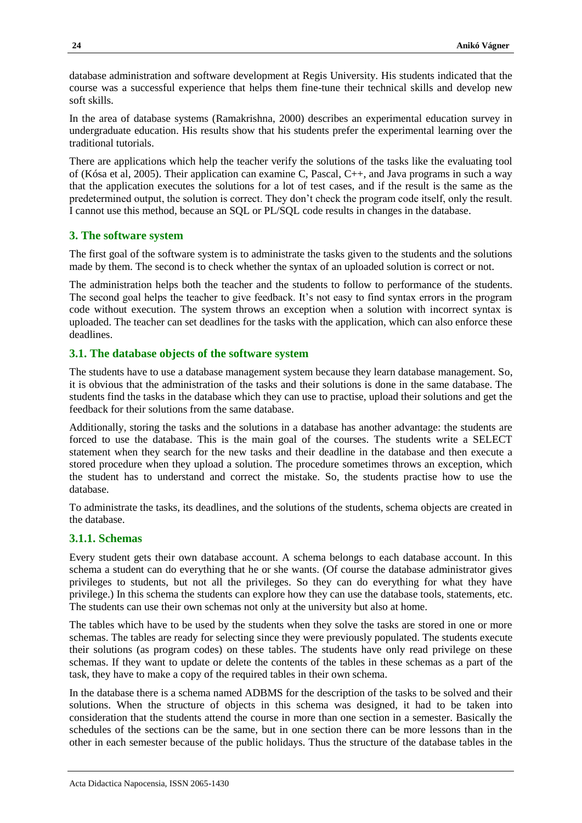database administration and software development at Regis University. His students indicated that the course was a successful experience that helps them fine-tune their technical skills and develop new soft skills.

In the area of database systems (Ramakrishna, 2000) describes an experimental education survey in undergraduate education. His results show that his students prefer the experimental learning over the traditional tutorials.

There are applications which help the teacher verify the solutions of the tasks like the evaluating tool of (Kósa et al, 2005). Their application can examine C, Pascal, C++, and Java programs in such a way that the application executes the solutions for a lot of test cases, and if the result is the same as the predetermined output, the solution is correct. They don't check the program code itself, only the result. I cannot use this method, because an SQL or PL/SQL code results in changes in the database.

## **3. The software system**

The first goal of the software system is to administrate the tasks given to the students and the solutions made by them. The second is to check whether the syntax of an uploaded solution is correct or not.

The administration helps both the teacher and the students to follow to performance of the students. The second goal helps the teacher to give feedback. It's not easy to find syntax errors in the program code without execution. The system throws an exception when a solution with incorrect syntax is uploaded. The teacher can set deadlines for the tasks with the application, which can also enforce these deadlines.

#### **3.1. The database objects of the software system**

The students have to use a database management system because they learn database management. So, it is obvious that the administration of the tasks and their solutions is done in the same database. The students find the tasks in the database which they can use to practise, upload their solutions and get the feedback for their solutions from the same database.

Additionally, storing the tasks and the solutions in a database has another advantage: the students are forced to use the database. This is the main goal of the courses. The students write a SELECT statement when they search for the new tasks and their deadline in the database and then execute a stored procedure when they upload a solution. The procedure sometimes throws an exception, which the student has to understand and correct the mistake. So, the students practise how to use the database.

To administrate the tasks, its deadlines, and the solutions of the students, schema objects are created in the database.

### **3.1.1. Schemas**

Every student gets their own database account. A schema belongs to each database account. In this schema a student can do everything that he or she wants. (Of course the database administrator gives privileges to students, but not all the privileges. So they can do everything for what they have privilege.) In this schema the students can explore how they can use the database tools, statements, etc. The students can use their own schemas not only at the university but also at home.

The tables which have to be used by the students when they solve the tasks are stored in one or more schemas. The tables are ready for selecting since they were previously populated. The students execute their solutions (as program codes) on these tables. The students have only read privilege on these schemas. If they want to update or delete the contents of the tables in these schemas as a part of the task, they have to make a copy of the required tables in their own schema.

In the database there is a schema named ADBMS for the description of the tasks to be solved and their solutions. When the structure of objects in this schema was designed, it had to be taken into consideration that the students attend the course in more than one section in a semester. Basically the schedules of the sections can be the same, but in one section there can be more lessons than in the other in each semester because of the public holidays. Thus the structure of the database tables in the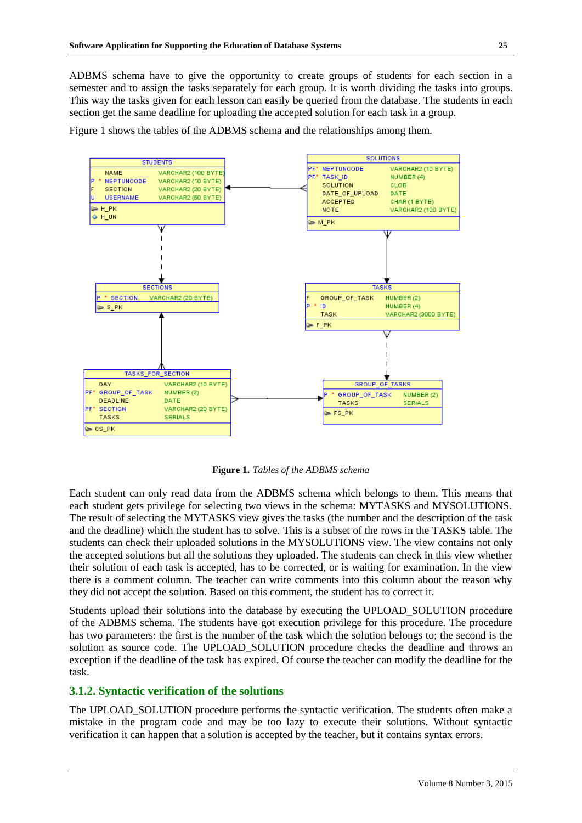ADBMS schema have to give the opportunity to create groups of students for each section in a semester and to assign the tasks separately for each group. It is worth dividing the tasks into groups. This way the tasks given for each lesson can easily be queried from the database. The students in each section get the same deadline for uploading the accepted solution for each task in a group.

Figure 1 shows the tables of the ADBMS schema and the relationships among them.



**Figure 1.** *Tables of the ADBMS schema*

Each student can only read data from the ADBMS schema which belongs to them. This means that each student gets privilege for selecting two views in the schema: MYTASKS and MYSOLUTIONS. The result of selecting the MYTASKS view gives the tasks (the number and the description of the task and the deadline) which the student has to solve. This is a subset of the rows in the TASKS table. The students can check their uploaded solutions in the MYSOLUTIONS view. The view contains not only the accepted solutions but all the solutions they uploaded. The students can check in this view whether their solution of each task is accepted, has to be corrected, or is waiting for examination. In the view there is a comment column. The teacher can write comments into this column about the reason why they did not accept the solution. Based on this comment, the student has to correct it.

Students upload their solutions into the database by executing the UPLOAD\_SOLUTION procedure of the ADBMS schema. The students have got execution privilege for this procedure. The procedure has two parameters: the first is the number of the task which the solution belongs to; the second is the solution as source code. The UPLOAD SOLUTION procedure checks the deadline and throws an exception if the deadline of the task has expired. Of course the teacher can modify the deadline for the task.

# **3.1.2. Syntactic verification of the solutions**

The UPLOAD\_SOLUTION procedure performs the syntactic verification. The students often make a mistake in the program code and may be too lazy to execute their solutions. Without syntactic verification it can happen that a solution is accepted by the teacher, but it contains syntax errors.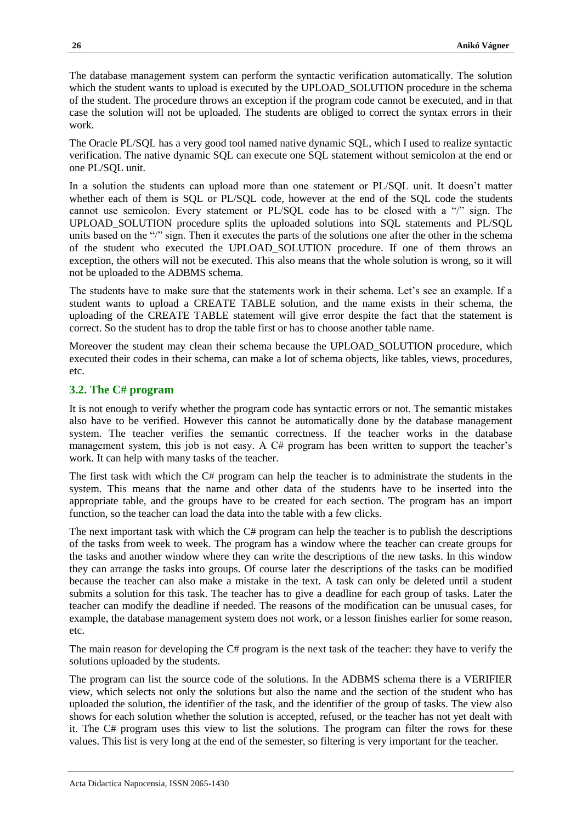The database management system can perform the syntactic verification automatically. The solution which the student wants to upload is executed by the UPLOAD\_SOLUTION procedure in the schema of the student. The procedure throws an exception if the program code cannot be executed, and in that case the solution will not be uploaded. The students are obliged to correct the syntax errors in their work.

The Oracle PL/SQL has a very good tool named native dynamic SQL, which I used to realize syntactic verification. The native dynamic SQL can execute one SQL statement without semicolon at the end or one PL/SQL unit.

In a solution the students can upload more than one statement or PL/SQL unit. It doesn't matter whether each of them is SQL or PL/SQL code, however at the end of the SQL code the students cannot use semicolon. Every statement or PL/SQL code has to be closed with a "/" sign. The UPLOAD\_SOLUTION procedure splits the uploaded solutions into SQL statements and PL/SQL units based on the "/" sign. Then it executes the parts of the solutions one after the other in the schema of the student who executed the UPLOAD\_SOLUTION procedure. If one of them throws an exception, the others will not be executed. This also means that the whole solution is wrong, so it will not be uploaded to the ADBMS schema.

The students have to make sure that the statements work in their schema. Let's see an example. If a student wants to upload a CREATE TABLE solution, and the name exists in their schema, the uploading of the CREATE TABLE statement will give error despite the fact that the statement is correct. So the student has to drop the table first or has to choose another table name.

Moreover the student may clean their schema because the UPLOAD SOLUTION procedure, which executed their codes in their schema, can make a lot of schema objects, like tables, views, procedures, etc.

## **3.2. The C# program**

It is not enough to verify whether the program code has syntactic errors or not. The semantic mistakes also have to be verified. However this cannot be automatically done by the database management system. The teacher verifies the semantic correctness. If the teacher works in the database management system, this job is not easy. A C# program has been written to support the teacher's work. It can help with many tasks of the teacher.

The first task with which the C# program can help the teacher is to administrate the students in the system. This means that the name and other data of the students have to be inserted into the appropriate table, and the groups have to be created for each section. The program has an import function, so the teacher can load the data into the table with a few clicks.

The next important task with which the C# program can help the teacher is to publish the descriptions of the tasks from week to week. The program has a window where the teacher can create groups for the tasks and another window where they can write the descriptions of the new tasks. In this window they can arrange the tasks into groups. Of course later the descriptions of the tasks can be modified because the teacher can also make a mistake in the text. A task can only be deleted until a student submits a solution for this task. The teacher has to give a deadline for each group of tasks. Later the teacher can modify the deadline if needed. The reasons of the modification can be unusual cases, for example, the database management system does not work, or a lesson finishes earlier for some reason, etc.

The main reason for developing the C# program is the next task of the teacher: they have to verify the solutions uploaded by the students.

The program can list the source code of the solutions. In the ADBMS schema there is a VERIFIER view, which selects not only the solutions but also the name and the section of the student who has uploaded the solution, the identifier of the task, and the identifier of the group of tasks. The view also shows for each solution whether the solution is accepted, refused, or the teacher has not yet dealt with it. The C# program uses this view to list the solutions. The program can filter the rows for these values. This list is very long at the end of the semester, so filtering is very important for the teacher.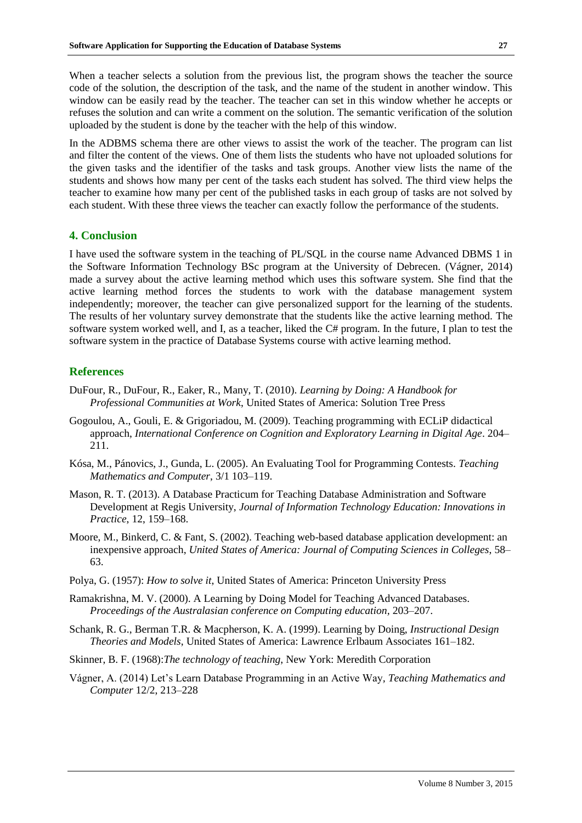When a teacher selects a solution from the previous list, the program shows the teacher the source code of the solution, the description of the task, and the name of the student in another window. This window can be easily read by the teacher. The teacher can set in this window whether he accepts or refuses the solution and can write a comment on the solution. The semantic verification of the solution uploaded by the student is done by the teacher with the help of this window.

In the ADBMS schema there are other views to assist the work of the teacher. The program can list and filter the content of the views. One of them lists the students who have not uploaded solutions for the given tasks and the identifier of the tasks and task groups. Another view lists the name of the students and shows how many per cent of the tasks each student has solved. The third view helps the teacher to examine how many per cent of the published tasks in each group of tasks are not solved by each student. With these three views the teacher can exactly follow the performance of the students.

#### **4. Conclusion**

I have used the software system in the teaching of PL/SQL in the course name Advanced DBMS 1 in the Software Information Technology BSc program at the University of Debrecen. (Vágner, 2014) made a survey about the active learning method which uses this software system. She find that the active learning method forces the students to work with the database management system independently; moreover, the teacher can give personalized support for the learning of the students. The results of her voluntary survey demonstrate that the students like the active learning method. The software system worked well, and I, as a teacher, liked the C# program. In the future, I plan to test the software system in the practice of Database Systems course with active learning method.

#### **References**

- DuFour, R., DuFour, R., Eaker, R., Many, T. (2010). *Learning by Doing: A Handbook for Professional Communities at Work*, United States of America: Solution Tree Press
- Gogoulou, A., Gouli, E. & Grigoriadou, M. (2009). Teaching programming with ECLiP didactical approach, *International Conference on Cognition and Exploratory Learning in Digital Age*. 204– 211.
- Kósa, M., Pánovics, J., Gunda, L. (2005). An Evaluating Tool for Programming Contests. *Teaching Mathematics and Computer*, 3/1 103–119.
- Mason, R. T. (2013). A Database Practicum for Teaching Database Administration and Software Development at Regis University, *Journal of Information Technology Education: Innovations in Practice*, 12, 159–168.
- Moore, M., Binkerd, C. & Fant, S. (2002). Teaching web-based database application development: an inexpensive approach, *United States of America: Journal of Computing Sciences in Colleges*, 58– 63.
- Polya, G. (1957): *How to solve it*, United States of America: Princeton University Press
- Ramakrishna, M. V. (2000). A Learning by Doing Model for Teaching Advanced Databases. *Proceedings of the Australasian conference on Computing education,* 203–207.
- Schank, R. G., Berman T.R. & Macpherson, K. A. (1999). Learning by Doing, *Instructional Design Theories and Models*, United States of America: Lawrence Erlbaum Associates 161–182.
- Skinner, B. F. (1968):*The technology of teaching*, New York: Meredith Corporation
- Vágner, A. (2014) Let's Learn Database Programming in an Active Way*, Teaching Mathematics and Computer* 12/2, 213–228